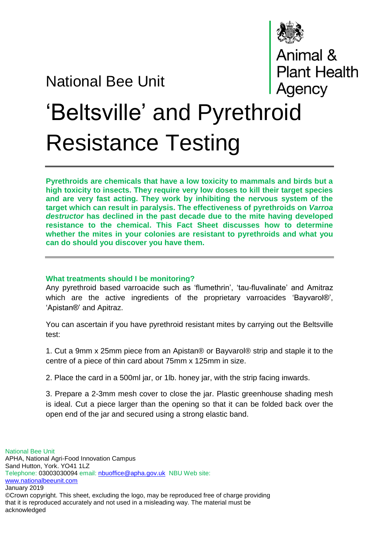## National Bee Unit



Animal &<br>Plant Health<br>Agency

## 'Beltsville' and Pyrethroid Resistance Testing

**Pyrethroids are chemicals that have a low toxicity to mammals and birds but a high toxicity to insects. They require very low doses to kill their target species and are very fast acting. They work by inhibiting the nervous system of the target which can result in paralysis. The effectiveness of pyrethroids on** *Varroa destructor* **has declined in the past decade due to the mite having developed resistance to the chemical. This Fact Sheet discusses how to determine whether the mites in your colonies are resistant to pyrethroids and what you can do should you discover you have them.**

## **What treatments should I be monitoring?**

Any pyrethroid based varroacide such as 'flumethrin', 'tau-fluvalinate' and Amitraz which are the active ingredients of the proprietary varroacides 'Bayvarol®', 'Apistan®' and Apitraz.

You can ascertain if you have pyrethroid resistant mites by carrying out the Beltsville test:

1. Cut a 9mm x 25mm piece from an Apistan® or Bayvarol® strip and staple it to the centre of a piece of thin card about 75mm x 125mm in size.

2. Place the card in a 500ml jar, or 1lb. honey jar, with the strip facing inwards.

3. Prepare a 2-3mm mesh cover to close the jar. Plastic greenhouse shading mesh is ideal. Cut a piece larger than the opening so that it can be folded back over the open end of the jar and secured using a strong elastic band.

National Bee Unit APHA, National Agri-Food Innovation Campus Sand Hutton, York. YO41 1LZ Telephone: 03003030094 email: [nbuoffice@apha.gov.uk](mailto:nbuoffice@apha.gov.uk) NBU Web site: [www.nationalbeeunit.com](http://www.nationalbeeunit.com/) January 2019 ©Crown copyright. This sheet, excluding the logo, may be reproduced free of charge providing

that it is reproduced accurately and not used in a misleading way. The material must be acknowledged